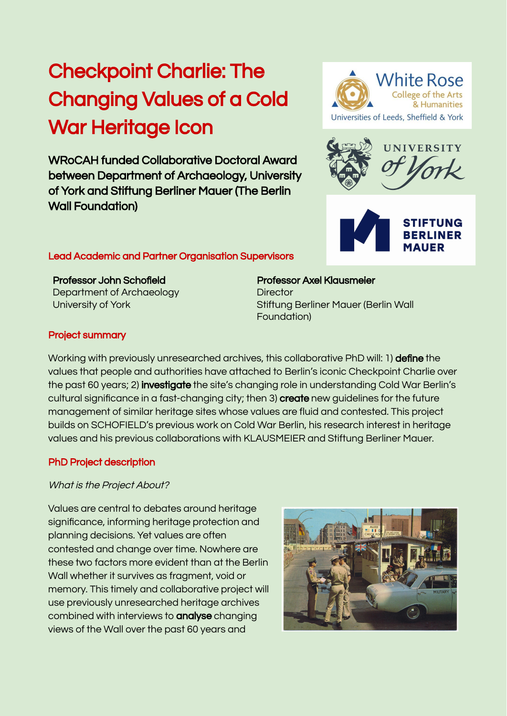# Checkpoint Charlie: The Changing Values of a Cold War Heritage Icon

WRoCAH funded Collaborative Doctoral Award between Department of Archaeology, University of York and Stiftung Berliner Mauer (The Berlin Wall Foundation)

# Lead Academic and Partner Organisation Supervisors

Professor John Schofield Department of Archaeology University of York

Professor Axel Klausmeier **Director** Stiftung Berliner Mauer (Berlin Wall Foundation)

## Project summary

Working with previously unresearched archives, this collaborative PhD will: 1) **define** the values that people and authorities have attached to Berlin's iconic Checkpoint Charlie over the past 60 years; 2) **investigate** the site's changing role in understanding Cold War Berlin's cultural significance in a fast-changing city; then 3) create new guidelines for the future management of similar heritage sites whose values are fluid and contested. This project builds on SCHOFIELD's previous work on Cold War Berlin, his research interest in heritage values and his previous collaborations with KLAUSMEIER and Stiftung Berliner Mauer.

#### PhD Project description

#### What is the Project About?

Values are central to debates around heritage significance, informing heritage protection and planning decisions. Yet values are often contested and change over time. Nowhere are these two factors more evident than at the Berlin Wall whether it survives as fragment, void or memory. This timely and collaborative project will use previously unresearched heritage archives combined with interviews to analyse changing views of the Wall over the past 60 years and







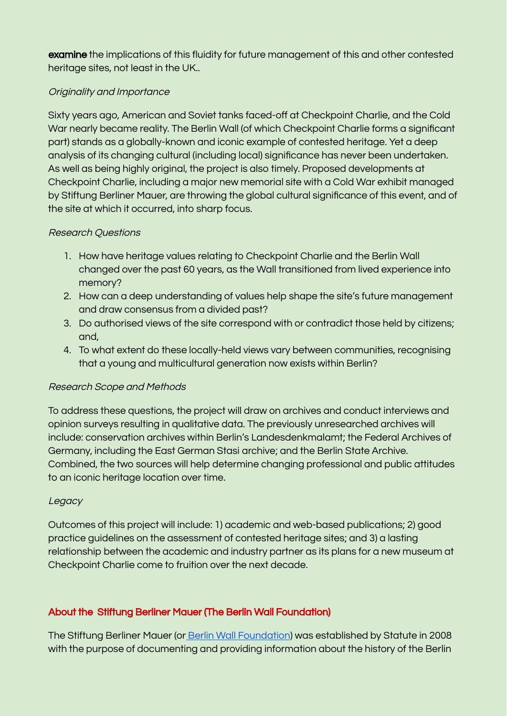examine the implications of this fluidity for future management of this and other contested heritage sites, not least in the UK..

# Originality and Importance

Sixty years ago, American and Soviet tanks faced-off at Checkpoint Charlie, and the Cold War nearly became reality. The Berlin Wall (of which Checkpoint Charlie forms a significant part) stands as a globally-known and iconic example of contested heritage. Yet a deep analysis of its changing cultural (including local) significance has never been undertaken. As well as being highly original, the project is also timely. Proposed developments at Checkpoint Charlie, including a major new memorial site with a Cold War exhibit managed by Stiftung Berliner Mauer, are throwing the global cultural significance of this event, and of the site at which it occurred, into sharp focus.

# Research Questions

- 1. How have heritage values relating to Checkpoint Charlie and the Berlin Wall changed over the past 60 years, as the Wall transitioned from lived experience into memory?
- 2. How can a deep understanding of values help shape the site's future management and draw consensus from a divided past?
- 3. Do authorised views of the site correspond with or contradict those held by citizens; and,
- 4. To what extent do these locally-held views vary between communities, recognising that a young and multicultural generation now exists within Berlin?

# Research Scope and Methods

To address these questions, the project will draw on archives and conduct interviews and opinion surveys resulting in qualitative data. The previously unresearched archives will include: conservation archives within Berlin's Landesdenkmalamt; the Federal Archives of Germany, including the East German Stasi archive; and the Berlin State Archive. Combined, the two sources will help determine changing professional and public attitudes to an iconic heritage location over time.

## Legacy

Outcomes of this project will include: 1) academic and web-based publications; 2) good practice guidelines on the assessment of contested heritage sites; and 3) a lasting relationship between the academic and industry partner as its plans for a new museum at Checkpoint Charlie come to fruition over the next decade.

# About the Stiftung Berliner Mauer (The Berlin Wall Foundation)

The Stiftung Berliner Mauer (or Berlin Wall [Foundation](https://www.stiftung-berliner-mauer.de/en/)) was established by Statute in 2008 with the purpose of documenting and providing information about the history of the Berlin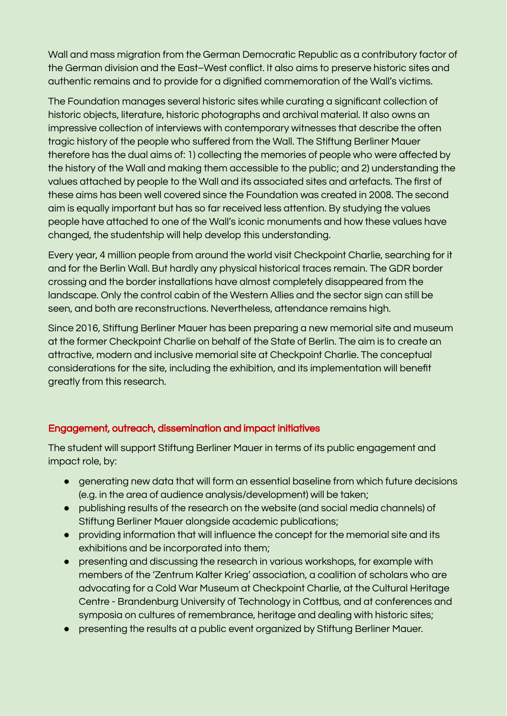Wall and mass migration from the German Democratic Republic as a contributory factor of the German division and the East–West conflict. It also aims to preserve historic sites and authentic remains and to provide for a dignified commemoration of the Wall's victims.

The Foundation manages several historic sites while curating a significant collection of historic objects, literature, historic photographs and archival material. It also owns an impressive collection of interviews with contemporary witnesses that describe the often tragic history of the people who suffered from the Wall. The Stiftung Berliner Mauer therefore has the dual aims of: 1) collecting the memories of people who were affected by the history of the Wall and making them accessible to the public; and 2) understanding the values attached by people to the Wall and its associated sites and artefacts. The first of these aims has been well covered since the Foundation was created in 2008. The second aim is equally important but has so far received less attention. By studying the values people have attached to one of the Wall's iconic monuments and how these values have changed, the studentship will help develop this understanding.

Every year, 4 million people from around the world visit Checkpoint Charlie, searching for it and for the Berlin Wall. But hardly any physical historical traces remain. The GDR border crossing and the border installations have almost completely disappeared from the landscape. Only the control cabin of the Western Allies and the sector sign can still be seen, and both are reconstructions. Nevertheless, attendance remains high.

Since 2016, Stiftung Berliner Mauer has been preparing a new memorial site and museum at the former Checkpoint Charlie on behalf of the State of Berlin. The aim is to create an attractive, modern and inclusive memorial site at Checkpoint Charlie. The conceptual considerations for the site, including the exhibition, and its implementation will benefit greatly from this research.

# Engagement, outreach, dissemination and impact initiatives

The student will support Stiftung Berliner Mauer in terms of its public engagement and impact role, by:

- generating new data that will form an essential baseline from which future decisions (e.g. in the area of audience analysis/development) will be taken;
- publishing results of the research on the website (and social media channels) of Stiftung Berliner Mauer alongside academic publications;
- providing information that will influence the concept for the memorial site and its exhibitions and be incorporated into them;
- presenting and discussing the research in various workshops, for example with members of the 'Zentrum Kalter Krieg' association, a coalition of scholars who are advocating for a Cold War Museum at Checkpoint Charlie, at the Cultural Heritage Centre - Brandenburg University of Technology in Cottbus, and at conferences and symposia on cultures of remembrance, heritage and dealing with historic sites;
- presenting the results at a public event organized by Stiftung Berliner Mauer.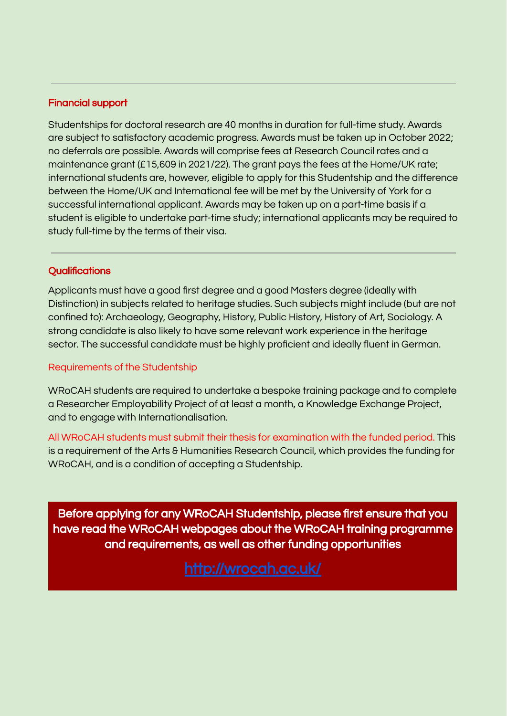## Financial support

Studentships for doctoral research are 40 months in duration for full-time study. Awards are subject to satisfactory academic progress. Awards must be taken up in October 2022; no deferrals are possible. Awards will comprise fees at Research Council rates and a maintenance grant (£15,609 in 2021/22). The grant pays the fees at the Home/UK rate; international students are, however, eligible to apply for this Studentship and the difference between the Home/UK and International fee will be met by the University of York for a successful international applicant. Awards may be taken up on a part-time basis if a student is eligible to undertake part-time study; international applicants may be required to study full-time by the terms of their visa.

# **Qualifications**

Applicants must have a good first degree and a good Masters degree (ideally with Distinction) in subjects related to heritage studies. Such subjects might include (but are not confined to): Archaeology, Geography, History, Public History, History of Art, Sociology. A strong candidate is also likely to have some relevant work experience in the heritage sector. The successful candidate must be highly proficient and ideally fluent in German.

## Requirements of the Studentship

WRoCAH students are required to undertake a bespoke training package and to complete a Researcher Employability Project of at least a month, a Knowledge Exchange Project, and to engage with Internationalisation.

All WRoCAH students must submit their thesis for examination with the funded period. This is a requirement of the Arts & Humanities Research Council, which provides the funding for WRoCAH, and is a condition of accepting a Studentship.

Before applying for any WRoCAH Studentship, please first ensure that you have read the WRoCAH webpages about the WRoCAH training programme and requirements, as well as other funding opportunities

[http://wrocah.ac.uk/](https://wrocah.ac.uk/funding/current-funding-for-2019-2023-students/)